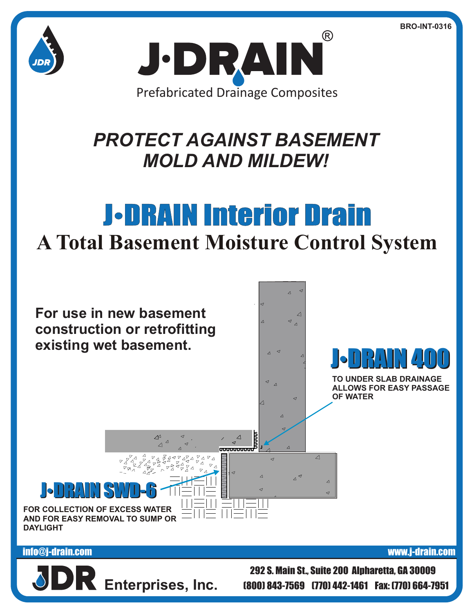**BRO-INT-0316**





## *PROTECT AGAINST BASEMENT MOLD AND MILDEW!*

## J•DRAIN Interior Drain **A Total Basement Moisture Control System**



## info@j-drain.com www.j-drain.com

**Enterprises, Inc.**

292 S. Main St., Suite 200 Alpharetta, GA 30009 (800) 843-7569 (770) 442-1461 Fax: (770) 664-7951